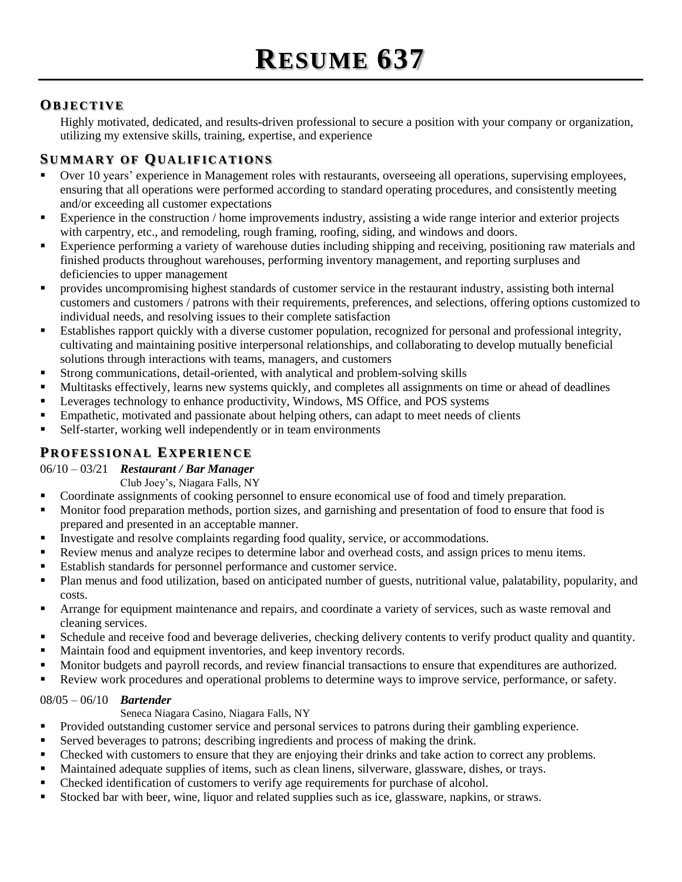# **OB J E C T I V E**

Highly motivated, dedicated, and results-driven professional to secure a position with your company or organization, utilizing my extensive skills, training, expertise, and experience

# **SU M M A R Y O F QU A L I F I C A T I O N S**

- Over 10 years' experience in Management roles with restaurants, overseeing all operations, supervising employees, ensuring that all operations were performed according to standard operating procedures, and consistently meeting and/or exceeding all customer expectations
- **Experience in the construction / home improvements industry, assisting a wide range interior and exterior projects** with carpentry, etc., and remodeling, rough framing, roofing, siding, and windows and doors.
- Experience performing a variety of warehouse duties including shipping and receiving, positioning raw materials and finished products throughout warehouses, performing inventory management, and reporting surpluses and deficiencies to upper management
- provides uncompromising highest standards of customer service in the restaurant industry, assisting both internal customers and customers / patrons with their requirements, preferences, and selections, offering options customized to individual needs, and resolving issues to their complete satisfaction
- Establishes rapport quickly with a diverse customer population, recognized for personal and professional integrity, cultivating and maintaining positive interpersonal relationships, and collaborating to develop mutually beneficial solutions through interactions with teams, managers, and customers
- Strong communications, detail-oriented, with analytical and problem-solving skills
- Multitasks effectively, learns new systems quickly, and completes all assignments on time or ahead of deadlines
- **Leverages technology to enhance productivity, Windows, MS Office, and POS systems**
- Empathetic, motivated and passionate about helping others, can adapt to meet needs of clients
- Self-starter, working well independently or in team environments

# **PR O F E S S I O N A L EX P E R I E N C E**

### 06/10 – 03/21 *Restaurant / Bar Manager*

Club Joey's, Niagara Falls, NY

- Coordinate assignments of cooking personnel to ensure economical use of food and timely preparation.
- Monitor food preparation methods, portion sizes, and garnishing and presentation of food to ensure that food is prepared and presented in an acceptable manner.
- **I** Investigate and resolve complaints regarding food quality, service, or accommodations.
- Review menus and analyze recipes to determine labor and overhead costs, and assign prices to menu items.
- Establish standards for personnel performance and customer service.
- Plan menus and food utilization, based on anticipated number of guests, nutritional value, palatability, popularity, and costs.
- Arrange for equipment maintenance and repairs, and coordinate a variety of services, such as waste removal and cleaning services.
- Schedule and receive food and beverage deliveries, checking delivery contents to verify product quality and quantity.
- Maintain food and equipment inventories, and keep inventory records.
- Monitor budgets and payroll records, and review financial transactions to ensure that expenditures are authorized.
- Review work procedures and operational problems to determine ways to improve service, performance, or safety.

### 08/05 – 06/10 *Bartender*

Seneca Niagara Casino, Niagara Falls, NY

- **Provided outstanding customer service and personal services to patrons during their gambling experience.**
- Served beverages to patrons; describing ingredients and process of making the drink.
- Checked with customers to ensure that they are enjoying their drinks and take action to correct any problems.
- Maintained adequate supplies of items, such as clean linens, silverware, glassware, dishes, or trays.
- Checked identification of customers to verify age requirements for purchase of alcohol.
- Stocked bar with beer, wine, liquor and related supplies such as ice, glassware, napkins, or straws.